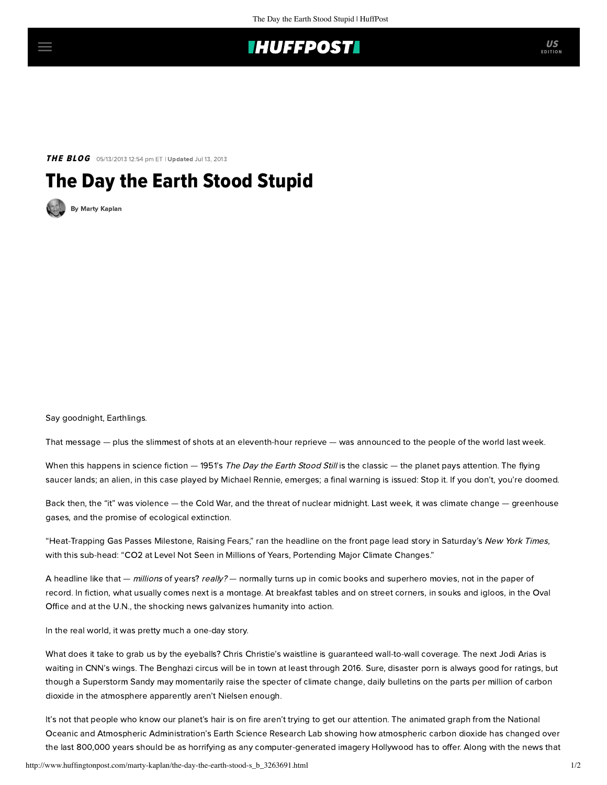# **IHUFFPOSTI**

THE BLOG 05/13/2013 12:54 pm ET | Updated Jul 13, 2013

# The Day the Earth Stood Stupid

[By Marty Kaplan](http://www.huffingtonpost.com/author/marty-kaplan)

Say goodnight, Earthlings.

That message — plus the slimmest of shots at an eleventh-hour reprieve — was announced to the people of the world last week.

When this happens in science fiction - 1951's The Day the Earth Stood Still is the classic - the planet pays attention. The flying saucer lands; an alien, in this case played by Michael Rennie, emerges; a final warning is issued: Stop it. If you don't, you're doomed.

Back then, the "it" was violence — the Cold War, and the threat of nuclear midnight. Last week, it was climate change — greenhouse gases, and the promise of ecological extinction.

"Heat-Trapping Gas Passes Milestone, Raising Fears," ran the headline on the front page lead [story](http://www.nytimes.com/2013/05/11/science/earth/carbon-dioxide-level-passes-long-feared-milestone.html?pagewanted=all) in Saturday's New York Times, with this sub-head: "CO2 at Level Not Seen in Millions of Years, Portending Major Climate Changes."

A headline like that — millions of years? really? — normally turns up in comic books and superhero movies, not in the paper of record. In fiction, what usually comes next is a montage. At breakfast tables and on street corners, in souks and igloos, in the Oval Office and at the U.N., the shocking news galvanizes humanity into action.

In the real world, it was pretty much a one-day story.

What does it take to grab us by the eyeballs? Chris Christie's waistline is guaranteed wall-to-wall coverage. The next Jodi Arias is waiting in CNN's wings. The Benghazi circus will be in town at least through 2016. Sure, disaster porn is always good for ratings, but though a Superstorm Sandy may momentarily raise the specter of climate change, daily bulletins on the parts per million of carbon dioxide in the atmosphere apparently aren't Nielsen enough.

It's not that people who know our planet's hair is on fire aren't trying to get our attention. The [animated graph](http://www.youtube.com/watch?v=vA7tfz3k_9A&feature=player_embedded) from the National Oceanic and Atmospheric Administration's [Earth Science Research Lab](http://www.esrl.noaa.gov/gmd/ccgg/carbontracker/) showing how atmospheric carbon dioxide has changed over the last 800,000 years should be as horrifying as any computer-generated imagery Hollywood has to offer. Along with the news that